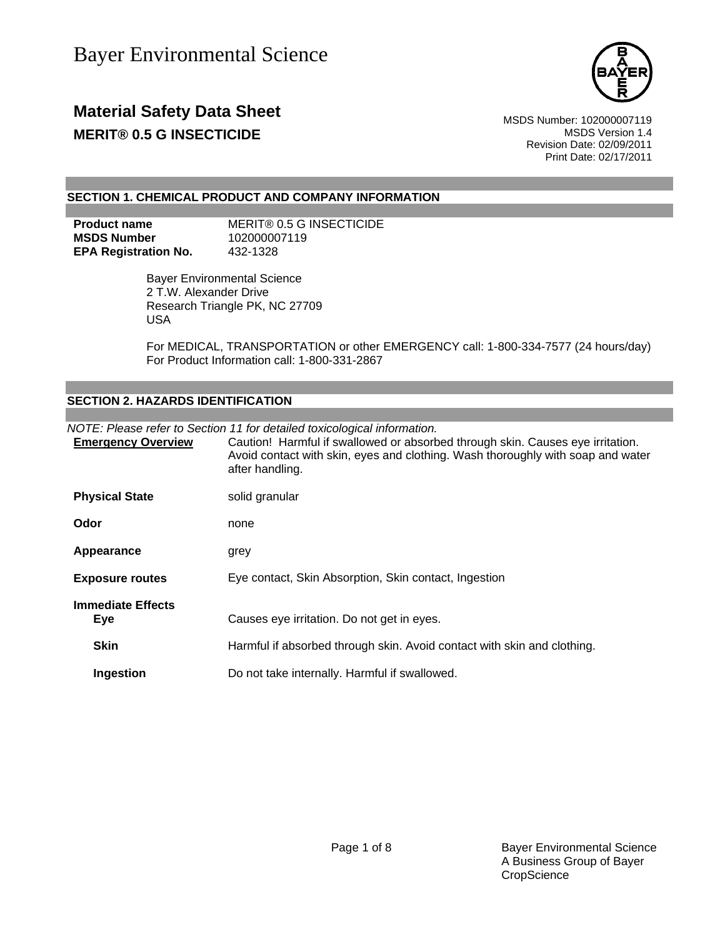

## **Material Safety Data Sheet** MSDS Number: 102000007119 **MERIT® 0.5 G INSECTICIDE MERIT® 0.5 G INSECTICIDE**

Revision Date: 02/09/2011 Print Date: 02/17/2011

### **SECTION 1. CHEMICAL PRODUCT AND COMPANY INFORMATION**

| <b>Product name</b>         | MERIT® 0.5 G INSECTICIDE |
|-----------------------------|--------------------------|
| <b>MSDS Number</b>          | 102000007119             |
| <b>EPA Registration No.</b> | 432-1328                 |

 Bayer Environmental Science 2 T.W. Alexander Drive Research Triangle PK, NC 27709 USA

For MEDICAL, TRANSPORTATION or other EMERGENCY call: 1-800-334-7577 (24 hours/day) For Product Information call: 1-800-331-2867

### **SECTION 2. HAZARDS IDENTIFICATION**

|                                        | NOTE: Please refer to Section 11 for detailed toxicological information.                                                                                                             |  |  |
|----------------------------------------|--------------------------------------------------------------------------------------------------------------------------------------------------------------------------------------|--|--|
| <b>Emergency Overview</b>              | Caution! Harmful if swallowed or absorbed through skin. Causes eye irritation.<br>Avoid contact with skin, eyes and clothing. Wash thoroughly with soap and water<br>after handling. |  |  |
| <b>Physical State</b>                  | solid granular                                                                                                                                                                       |  |  |
| Odor                                   | none                                                                                                                                                                                 |  |  |
| Appearance                             | grey                                                                                                                                                                                 |  |  |
| <b>Exposure routes</b>                 | Eye contact, Skin Absorption, Skin contact, Ingestion                                                                                                                                |  |  |
| <b>Immediate Effects</b><br><b>Eye</b> | Causes eye irritation. Do not get in eyes.                                                                                                                                           |  |  |
| <b>Skin</b>                            | Harmful if absorbed through skin. Avoid contact with skin and clothing.                                                                                                              |  |  |
| Ingestion                              | Do not take internally. Harmful if swallowed.                                                                                                                                        |  |  |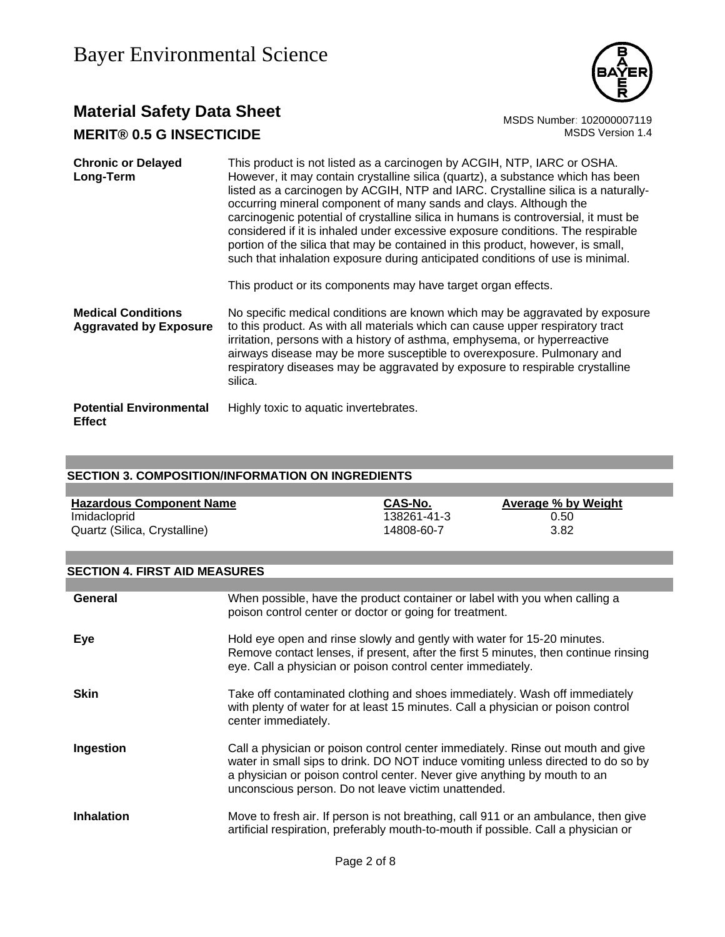

## **Material Safety Data Sheet**<br>MERIT® 0.5 G INSECTICIDE<br>MSDS Version 1.4 **MERIT® 0.5 G INSECTICIDE**

| <b>Chronic or Delayed</b><br>Long-Term                     | This product is not listed as a carcinogen by ACGIH, NTP, IARC or OSHA.<br>However, it may contain crystalline silica (quartz), a substance which has been<br>listed as a carcinogen by ACGIH, NTP and IARC. Crystalline silica is a naturally-<br>occurring mineral component of many sands and clays. Although the<br>carcinogenic potential of crystalline silica in humans is controversial, it must be<br>considered if it is inhaled under excessive exposure conditions. The respirable<br>portion of the silica that may be contained in this product, however, is small,<br>such that inhalation exposure during anticipated conditions of use is minimal.<br>This product or its components may have target organ effects. |
|------------------------------------------------------------|--------------------------------------------------------------------------------------------------------------------------------------------------------------------------------------------------------------------------------------------------------------------------------------------------------------------------------------------------------------------------------------------------------------------------------------------------------------------------------------------------------------------------------------------------------------------------------------------------------------------------------------------------------------------------------------------------------------------------------------|
| <b>Medical Conditions</b><br><b>Aggravated by Exposure</b> | No specific medical conditions are known which may be aggravated by exposure<br>to this product. As with all materials which can cause upper respiratory tract<br>irritation, persons with a history of asthma, emphysema, or hyperreactive<br>airways disease may be more susceptible to overexposure. Pulmonary and<br>respiratory diseases may be aggravated by exposure to respirable crystalline<br>silica.                                                                                                                                                                                                                                                                                                                     |
| <b>Potential Environmental</b><br><b>Effect</b>            | Highly toxic to aquatic invertebrates.                                                                                                                                                                                                                                                                                                                                                                                                                                                                                                                                                                                                                                                                                               |

### **SECTION 3. COMPOSITION/INFORMATION ON INGREDIENTS**

| <b>Hazardous Component Name</b> | CAS-No.     | <b>Average % by Weight</b> |
|---------------------------------|-------------|----------------------------|
| Imidacloprid                    | 138261-41-3 | 0.50                       |
| Quartz (Silica, Crystalline)    | 14808-60-7  | 3.82                       |

### **SECTION 4. FIRST AID MEASURES**

| General           | When possible, have the product container or label with you when calling a<br>poison control center or doctor or going for treatment.                                                                                                                                                                  |
|-------------------|--------------------------------------------------------------------------------------------------------------------------------------------------------------------------------------------------------------------------------------------------------------------------------------------------------|
| Eye               | Hold eye open and rinse slowly and gently with water for 15-20 minutes.<br>Remove contact lenses, if present, after the first 5 minutes, then continue rinsing<br>eye. Call a physician or poison control center immediately.                                                                          |
| <b>Skin</b>       | Take off contaminated clothing and shoes immediately. Wash off immediately<br>with plenty of water for at least 15 minutes. Call a physician or poison control<br>center immediately.                                                                                                                  |
| Ingestion         | Call a physician or poison control center immediately. Rinse out mouth and give<br>water in small sips to drink. DO NOT induce vomiting unless directed to do so by<br>a physician or poison control center. Never give anything by mouth to an<br>unconscious person. Do not leave victim unattended. |
| <b>Inhalation</b> | Move to fresh air. If person is not breathing, call 911 or an ambulance, then give<br>artificial respiration, preferably mouth-to-mouth if possible. Call a physician or                                                                                                                               |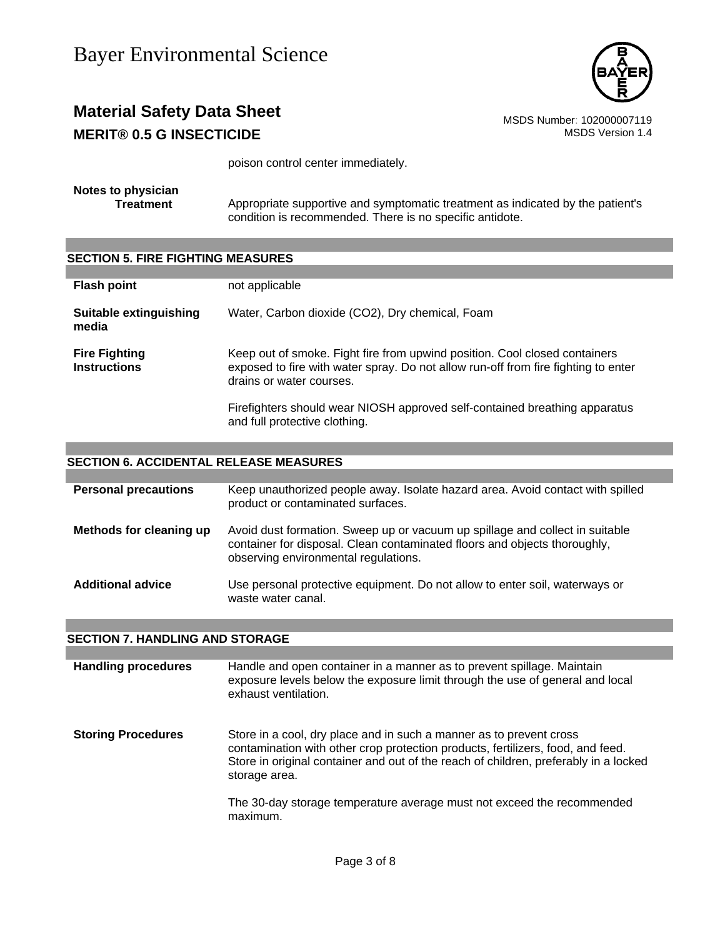

## **Material Safety Data Sheet**<br>MSDS Number: 102000007119<br>MSDS Version 1.4 **MERIT® 0.5 G INSECTICIDE**

poison control center immediately.

**Notes to physician**

Appropriate supportive and symptomatic treatment as indicated by the patient's condition is recommended. There is no specific antidote.

| <b>SECTION 5. FIRE FIGHTING MEASURES</b>    |                                                                                                                                                                                              |  |  |  |
|---------------------------------------------|----------------------------------------------------------------------------------------------------------------------------------------------------------------------------------------------|--|--|--|
|                                             |                                                                                                                                                                                              |  |  |  |
| <b>Flash point</b>                          | not applicable                                                                                                                                                                               |  |  |  |
| Suitable extinguishing<br>media             | Water, Carbon dioxide (CO2), Dry chemical, Foam                                                                                                                                              |  |  |  |
| <b>Fire Fighting</b><br><b>Instructions</b> | Keep out of smoke. Fight fire from upwind position. Cool closed containers<br>exposed to fire with water spray. Do not allow run-off from fire fighting to enter<br>drains or water courses. |  |  |  |
|                                             | Firefighters should wear NIOSH approved self-contained breathing apparatus<br>and full protective clothing.                                                                                  |  |  |  |

### **SECTION 6. ACCIDENTAL RELEASE MEASURES**

| <b>Personal precautions</b> | Keep unauthorized people away. Isolate hazard area. Avoid contact with spilled<br>product or contaminated surfaces.                                                                               |
|-----------------------------|---------------------------------------------------------------------------------------------------------------------------------------------------------------------------------------------------|
| Methods for cleaning up     | Avoid dust formation. Sweep up or vacuum up spillage and collect in suitable<br>container for disposal. Clean contaminated floors and objects thoroughly,<br>observing environmental regulations. |
| <b>Additional advice</b>    | Use personal protective equipment. Do not allow to enter soil, waterways or<br>waste water canal.                                                                                                 |

### **SECTION 7. HANDLING AND STORAGE**

| <b>Handling procedures</b> | Handle and open container in a manner as to prevent spillage. Maintain<br>exposure levels below the exposure limit through the use of general and local<br>exhaust ventilation.                                                                                 |
|----------------------------|-----------------------------------------------------------------------------------------------------------------------------------------------------------------------------------------------------------------------------------------------------------------|
| <b>Storing Procedures</b>  | Store in a cool, dry place and in such a manner as to prevent cross<br>contamination with other crop protection products, fertilizers, food, and feed.<br>Store in original container and out of the reach of children, preferably in a locked<br>storage area. |
|                            | The 30-day storage temperature average must not exceed the recommended<br>maximum.                                                                                                                                                                              |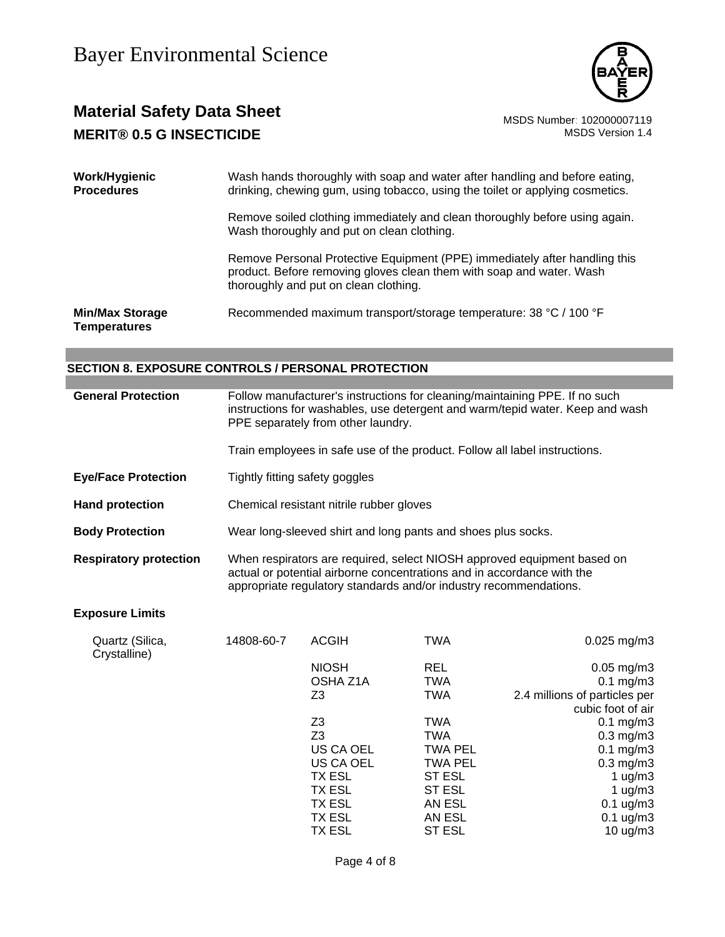

## **Material Safety Data Sheet** MSDS Number: 102000007119 **MERIT® 0.5 G INSECTICIDE MERIT® 0.5 G** INSECTICIDE

| Work/Hygienic<br><b>Procedures</b>            | Wash hands thoroughly with soap and water after handling and before eating,<br>drinking, chewing gum, using tobacco, using the toilet or applying cosmetics.                                |  |  |
|-----------------------------------------------|---------------------------------------------------------------------------------------------------------------------------------------------------------------------------------------------|--|--|
|                                               | Remove soiled clothing immediately and clean thoroughly before using again.<br>Wash thoroughly and put on clean clothing.                                                                   |  |  |
|                                               | Remove Personal Protective Equipment (PPE) immediately after handling this<br>product. Before removing gloves clean them with soap and water. Wash<br>thoroughly and put on clean clothing. |  |  |
| <b>Min/Max Storage</b><br><b>Temperatures</b> | Recommended maximum transport/storage temperature: 38 °C / 100 °F                                                                                                                           |  |  |

### **SECTION 8. EXPOSURE CONTROLS / PERSONAL PROTECTION**

| <b>General Protection</b> | Follow manufacturer's instructions for cleaning/maintaining PPE. If no such   |  |  |  |
|---------------------------|-------------------------------------------------------------------------------|--|--|--|
|                           | instructions for washables, use detergent and warm/tepid water. Keep and wash |  |  |  |
|                           | PPE separately from other laundry.                                            |  |  |  |

Train employees in safe use of the product. Follow all label instructions.

- **Eye/Face Protection** Tightly fitting safety goggles
- **Hand protection** Chemical resistant nitrile rubber gloves
- **Body Protection** Wear long-sleeved shirt and long pants and shoes plus socks.
- **Respiratory protection** When respirators are required, select NIOSH approved equipment based on actual or potential airborne concentrations and in accordance with the appropriate regulatory standards and/or industry recommendations.

### **Exposure Limits**

| $0.025$ mg/m3                 | TWA            | <b>ACGIH</b>   | 14808-60-7 | Quartz (Silica,<br>Crystalline) |
|-------------------------------|----------------|----------------|------------|---------------------------------|
| $0.05$ mg/m $3$               | <b>REL</b>     | <b>NIOSH</b>   |            |                                 |
| $0.1 \text{ mg/m}$ 3          | <b>TWA</b>     | OSHA Z1A       |            |                                 |
| 2.4 millions of particles per | <b>TWA</b>     | Z <sub>3</sub> |            |                                 |
| cubic foot of air             |                |                |            |                                 |
| $0.1 \text{ mg/m}$ 3          | <b>TWA</b>     | Z3             |            |                                 |
| $0.3$ mg/m $3$                | <b>TWA</b>     | Z <sub>3</sub> |            |                                 |
| $0.1 \text{ mg/m}$ 3          | <b>TWA PEL</b> | US CA OEL      |            |                                 |
| $0.3 \text{ mg/m}$ 3          | TWA PEL        | US CA OEL      |            |                                 |
| 1 $\mu$ g/m3                  | ST ESL         | TX ESL         |            |                                 |
| 1 $\mu$ g/m3                  | ST ESL         | TX ESL         |            |                                 |
| $0.1 \text{ ug/m}3$           | AN ESL         | TX ESL         |            |                                 |
| $0.1 \text{ ug/m}3$           | AN ESL         | TX ESL         |            |                                 |
| 10 $\mu$ g/m $3$              | ST ESL         | TX ESL         |            |                                 |
|                               |                |                |            |                                 |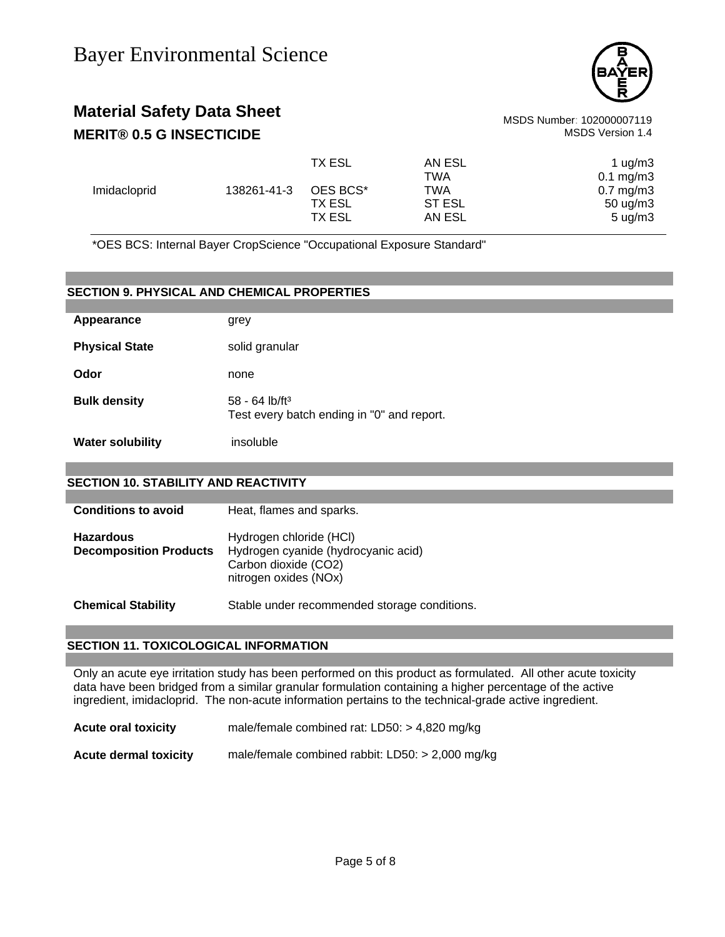

## **Material Safety Data Sheet** MSDS Number: 102000007119 **MERIT® 0.5 G INSECTICIDE MERIT® 0.5 G** INSECTICIDE

|              |             | TX ESL        | AN ESL | 1 $\mu$ g/m $3$        |
|--------------|-------------|---------------|--------|------------------------|
|              |             |               | TWA    | $0.1 \,\mathrm{mg/m3}$ |
| Imidacloprid | 138261-41-3 | OES BCS*      | TWA    | $0.7 \text{ mg/m}$ 3   |
|              |             | TX ESL        | ST ESL | 50 $\mu$ g/m3          |
|              |             | <b>TX ESL</b> | AN ESL | $5 \text{ uq/m}$ 3     |

\*OES BCS: Internal Bayer CropScience "Occupational Exposure Standard"

|                         | <b>SECTION 9. PHYSICAL AND CHEMICAL PROPERTIES</b>                         |  |  |  |
|-------------------------|----------------------------------------------------------------------------|--|--|--|
| Appearance              | grey                                                                       |  |  |  |
| <b>Physical State</b>   | solid granular                                                             |  |  |  |
| Odor                    | none                                                                       |  |  |  |
| <b>Bulk density</b>     | $58 - 64$ lb/ft <sup>3</sup><br>Test every batch ending in "0" and report. |  |  |  |
| <b>Water solubility</b> | insoluble                                                                  |  |  |  |
|                         |                                                                            |  |  |  |

### **SECTION 10. STABILITY AND REACTIVITY**

| <b>Conditions to avoid</b>                        | Heat, flames and sparks.                                                                                        |
|---------------------------------------------------|-----------------------------------------------------------------------------------------------------------------|
| <b>Hazardous</b><br><b>Decomposition Products</b> | Hydrogen chloride (HCI)<br>Hydrogen cyanide (hydrocyanic acid)<br>Carbon dioxide (CO2)<br>nitrogen oxides (NOx) |
| <b>Chemical Stability</b>                         | Stable under recommended storage conditions.                                                                    |

### **SECTION 11. TOXICOLOGICAL INFORMATION**

Only an acute eye irritation study has been performed on this product as formulated. All other acute toxicity data have been bridged from a similar granular formulation containing a higher percentage of the active ingredient, imidacloprid. The non-acute information pertains to the technical-grade active ingredient.

**Acute oral toxicity** male/female combined rat: LD50: > 4,820 mg/kg

**Acute dermal toxicity** male/female combined rabbit: LD50: > 2,000 mg/kg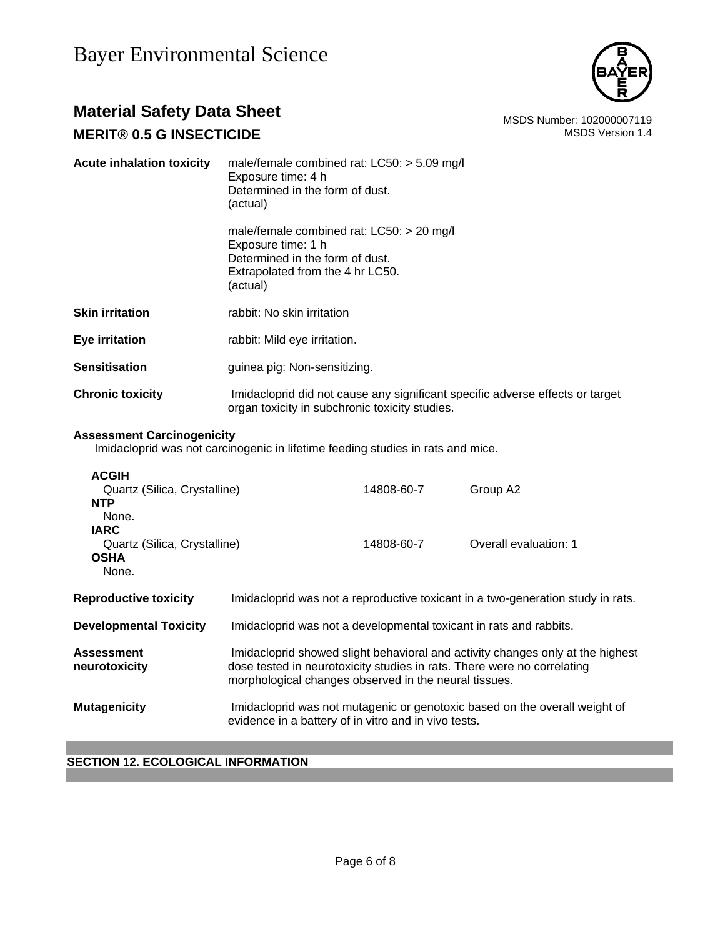

# **Material Safety Data Sheet**<br>MSDS Number: 102000007119<br>MSDS Version 1.4

### **MERIT® 0.5 G INSECTICIDE**

| <b>Acute inhalation toxicity</b> | male/female combined rat: $LCS0:$ > 5.09 mg/l<br>Exposure time: 4 h<br>Determined in the form of dust.<br>(actual)                                   |
|----------------------------------|------------------------------------------------------------------------------------------------------------------------------------------------------|
|                                  | male/female combined rat: $LCS0:$ > 20 mg/l<br>Exposure time: 1 h<br>Determined in the form of dust.<br>Extrapolated from the 4 hr LC50.<br>(actual) |
| Skin irritation                  | rabbit: No skin irritation                                                                                                                           |
| Eye irritation                   | rabbit: Mild eye irritation.                                                                                                                         |
| Sensitisation                    | guinea pig: Non-sensitizing.                                                                                                                         |
| <b>Chronic toxicity</b>          | Imidacloprid did not cause any significant specific adverse effects or target<br>organ toxicity in subchronic toxicity studies.                      |

### **Assessment Carcinogenicity**

Imidacloprid was not carcinogenic in lifetime feeding studies in rats and mice.

| <b>ACGIH</b><br>Quartz (Silica, Crystalline)<br><b>NTP</b><br>None.<br><b>IARC</b><br>Quartz (Silica, Crystalline) |                                                                                                                                                                                                                    | 14808-60-7<br>14808-60-7 | Group A2<br>Overall evaluation: 1                                               |
|--------------------------------------------------------------------------------------------------------------------|--------------------------------------------------------------------------------------------------------------------------------------------------------------------------------------------------------------------|--------------------------|---------------------------------------------------------------------------------|
| <b>OSHA</b><br>None.                                                                                               |                                                                                                                                                                                                                    |                          |                                                                                 |
| <b>Reproductive toxicity</b>                                                                                       |                                                                                                                                                                                                                    |                          | Imidacloprid was not a reproductive toxicant in a two-generation study in rats. |
| <b>Developmental Toxicity</b>                                                                                      | Imidacloprid was not a developmental toxicant in rats and rabbits.                                                                                                                                                 |                          |                                                                                 |
| <b>Assessment</b><br>neurotoxicity                                                                                 | Imidacloprid showed slight behavioral and activity changes only at the highest<br>dose tested in neurotoxicity studies in rats. There were no correlating<br>morphological changes observed in the neural tissues. |                          |                                                                                 |
| <b>Mutagenicity</b>                                                                                                | evidence in a battery of in vitro and in vivo tests.                                                                                                                                                               |                          | Imidacloprid was not mutagenic or genotoxic based on the overall weight of      |

### **SECTION 12. ECOLOGICAL INFORMATION**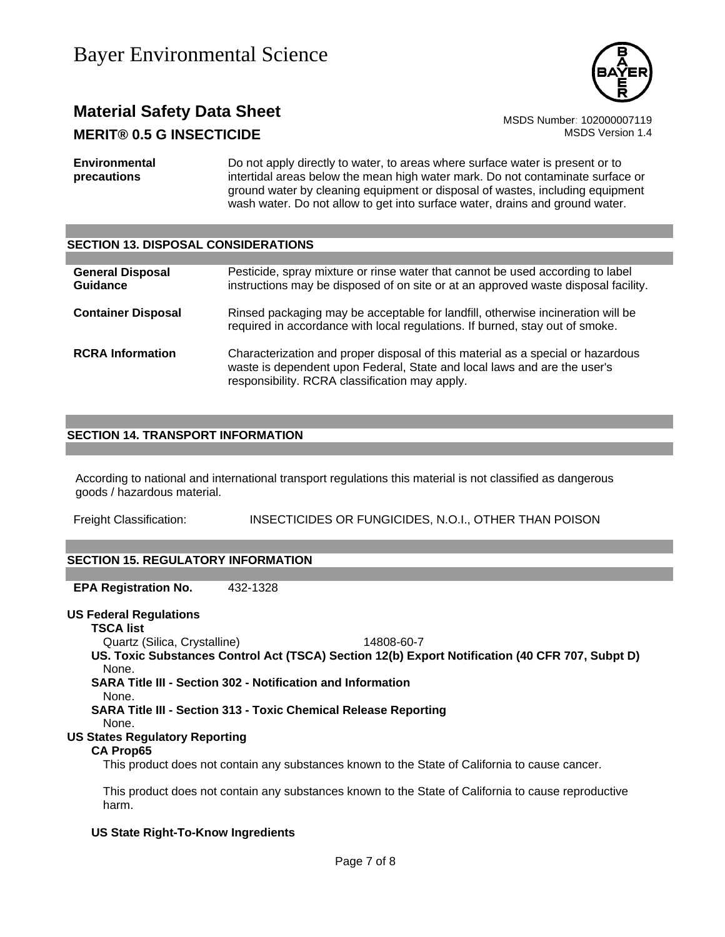

## **Material Safety Data Sheet**<br>MSDS Number: 102000007119<br>MSDS Version 1.4 **MERIT® 0.5 G INSECTICIDE**

**Environmental precautions**  Do not apply directly to water, to areas where surface water is present or to intertidal areas below the mean high water mark. Do not contaminate surface or ground water by cleaning equipment or disposal of wastes, including equipment wash water. Do not allow to get into surface water, drains and ground water.

### **SECTION 13. DISPOSAL CONSIDERATIONS**

| <b>General Disposal</b><br>Guidance | Pesticide, spray mixture or rinse water that cannot be used according to label<br>instructions may be disposed of on site or at an approved waste disposal facility.                                          |
|-------------------------------------|---------------------------------------------------------------------------------------------------------------------------------------------------------------------------------------------------------------|
| <b>Container Disposal</b>           | Rinsed packaging may be acceptable for landfill, otherwise incineration will be<br>required in accordance with local regulations. If burned, stay out of smoke.                                               |
| <b>RCRA</b> Information             | Characterization and proper disposal of this material as a special or hazardous<br>waste is dependent upon Federal, State and local laws and are the user's<br>responsibility. RCRA classification may apply. |

### **SECTION 14. TRANSPORT INFORMATION**

According to national and international transport regulations this material is not classified as dangerous goods / hazardous material.

Freight Classification: INSECTICIDES OR FUNGICIDES, N.O.I., OTHER THAN POISON

### **SECTION 15. REGULATORY INFORMATION**

**EPA Registration No.** 432-1328

### **US Federal Regulations**

**TSCA list**

Quartz (Silica, Crystalline) 14808-60-7

**US. Toxic Substances Control Act (TSCA) Section 12(b) Export Notification (40 CFR 707, Subpt D)** None.

**SARA Title III - Section 302 - Notification and Information**

None.

**SARA Title III - Section 313 - Toxic Chemical Release Reporting**

None.

### **US States Regulatory Reporting**

### **CA Prop65**

This product does not contain any substances known to the State of California to cause cancer.

This product does not contain any substances known to the State of California to cause reproductive harm.

### **US State Right-To-Know Ingredients**